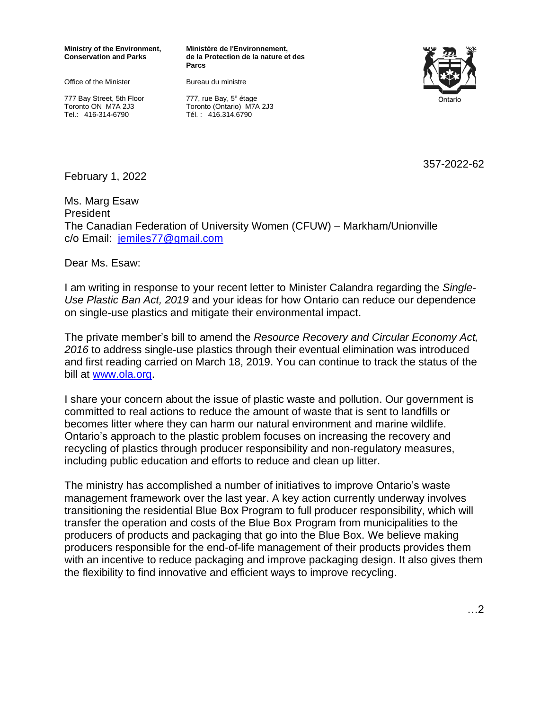## **Ministry of the Environment, Conservation and Parks**

Office of the Minister

777 Bay Street, 5th Floor Toronto ON M7A 2J3 Tel.: 416-314-6790

**Ministère de l'Environnement, de la Protection de la nature et des Parcs** 

Bureau du ministre



777, rue Bay, 5<sup>e</sup> étage Toronto (Ontario) M7A 2J3 Tél. : 416.314.6790

357-2022-62

February 1, 2022

Ms. Marg Esaw President The Canadian Federation of University Women (CFUW) – Markham/Unionville c/o Email: [jemiles77@gmail.com](mailto:jemiles77@gmail.com)

Dear Ms. Esaw:

I am writing in response to your recent letter to Minister Calandra regarding the *Single-Use Plastic Ban Act, 2019* and your ideas for how Ontario can reduce our dependence on single-use plastics and mitigate their environmental impact.

The private member's bill to amend the *Resource Recovery and Circular Economy Act, 2016* to address single-use plastics through their eventual elimination was introduced and first reading carried on March 18, 2019. You can continue to track the status of the bill at [www.ola.org.](http://www.ola.org/)

I share your concern about the issue of plastic waste and pollution. Our government is committed to real actions to reduce the amount of waste that is sent to landfills or becomes litter where they can harm our natural environment and marine wildlife. Ontario's approach to the plastic problem focuses on increasing the recovery and recycling of plastics through producer responsibility and non-regulatory measures, including public education and efforts to reduce and clean up litter.

The ministry has accomplished a number of initiatives to improve Ontario's waste management framework over the last year. A key action currently underway involves transitioning the residential Blue Box Program to full producer responsibility, which will transfer the operation and costs of the Blue Box Program from municipalities to the producers of products and packaging that go into the Blue Box. We believe making producers responsible for the end-of-life management of their products provides them with an incentive to reduce packaging and improve packaging design. It also gives them the flexibility to find innovative and efficient ways to improve recycling.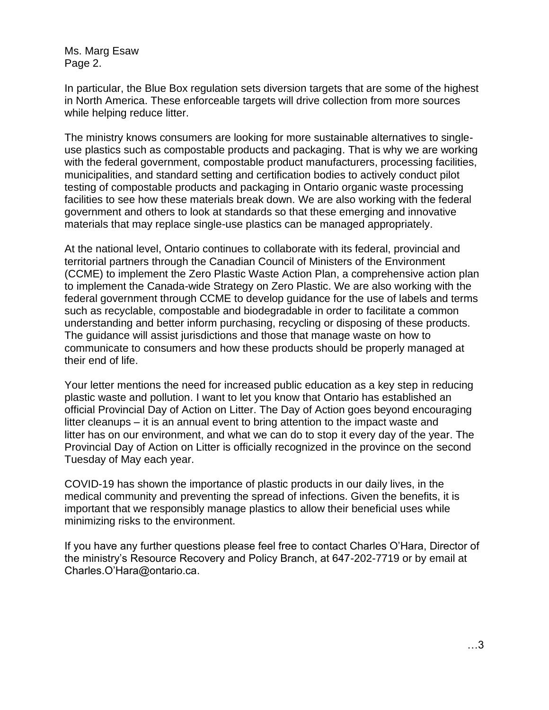Ms. Marg Esaw Page 2.

In particular, the Blue Box regulation sets diversion targets that are some of the highest in North America. These enforceable targets will drive collection from more sources while helping reduce litter.

The ministry knows consumers are looking for more sustainable alternatives to singleuse plastics such as compostable products and packaging. That is why we are working with the federal government, compostable product manufacturers, processing facilities, municipalities, and standard setting and certification bodies to actively conduct pilot testing of compostable products and packaging in Ontario organic waste processing facilities to see how these materials break down. We are also working with the federal government and others to look at standards so that these emerging and innovative materials that may replace single-use plastics can be managed appropriately.

At the national level, Ontario continues to collaborate with its federal, provincial and territorial partners through the Canadian Council of Ministers of the Environment (CCME) to implement the Zero Plastic Waste Action Plan, a comprehensive action plan to implement the Canada-wide Strategy on Zero Plastic. We are also working with the federal government through CCME to develop guidance for the use of labels and terms such as recyclable, compostable and biodegradable in order to facilitate a common understanding and better inform purchasing, recycling or disposing of these products. The guidance will assist jurisdictions and those that manage waste on how to communicate to consumers and how these products should be properly managed at their end of life.

Your letter mentions the need for increased public education as a key step in reducing plastic waste and pollution. I want to let you know that Ontario has established an official Provincial Day of Action on Litter. The Day of Action goes beyond encouraging litter cleanups – it is an annual event to bring attention to the impact waste and litter has on our environment, and what we can do to stop it every day of the year. The Provincial Day of Action on Litter is officially recognized in the province on the second Tuesday of May each year.

COVID-19 has shown the importance of plastic products in our daily lives, in the medical community and preventing the spread of infections. Given the benefits, it is important that we responsibly manage plastics to allow their beneficial uses while minimizing risks to the environment.

If you have any further questions please feel free to contact Charles O'Hara, Director of the ministry's Resource Recovery and Policy Branch, at 647-202-7719 or by email at Charles.O'Hara@ontario.ca.